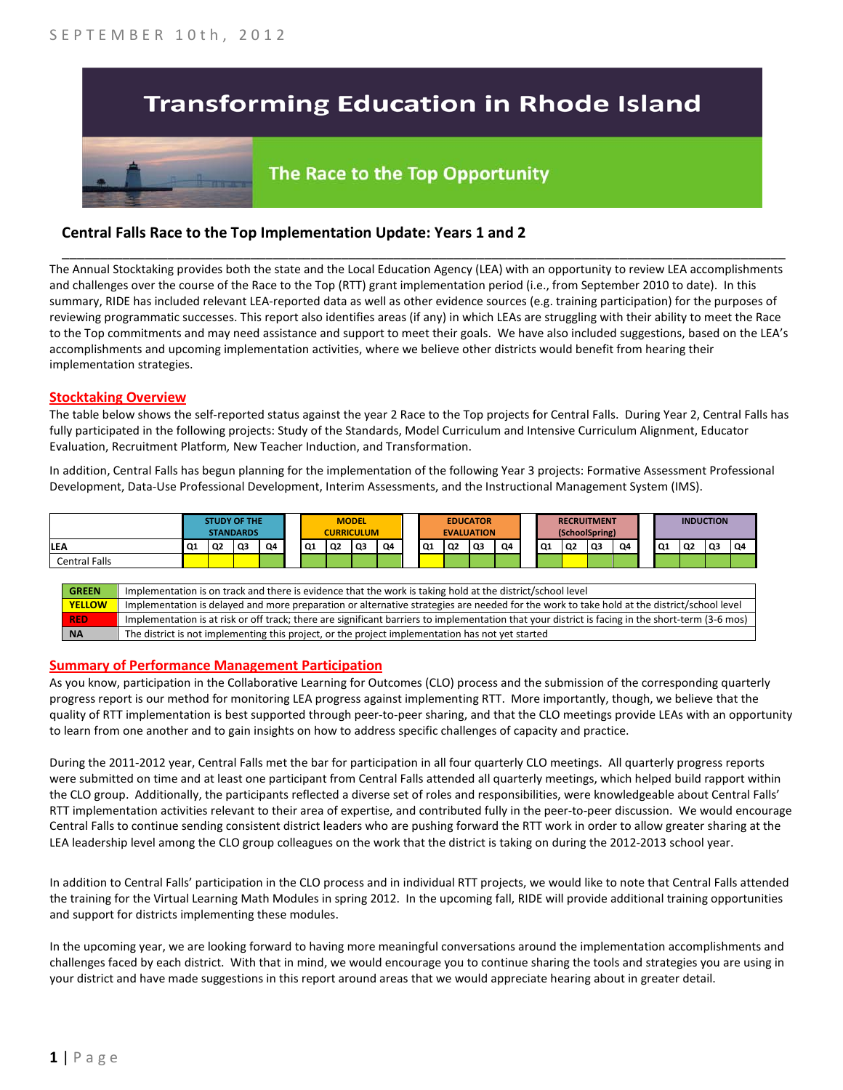# **Transforming Education in Rhode Island**



# The Race to the Top Opportunity

# **Central Falls Race to the Top Implementation Update: Years 1 and 2**

The Annual Stocktaking provides both the state and the Local Education Agency (LEA) with an opportunity to review LEA accomplishments and challenges over the course of the Race to the Top (RTT) grant implementation period (i.e., from September 2010 to date). In this summary, RIDE has included relevant LEA-reported data as well as other evidence sources (e.g. training participation) for the purposes of reviewing programmatic successes. This report also identifies areas (if any) in which LEAs are struggling with their ability to meet the Race to the Top commitments and may need assistance and support to meet their goals. We have also included suggestions, based on the LEA's accomplishments and upcoming implementation activities, where we believe other districts would benefit from hearing their implementation strategies.

\_\_\_\_\_\_\_\_\_\_\_\_\_\_\_\_\_\_\_\_\_\_\_\_\_\_\_\_\_\_\_\_\_\_\_\_\_\_\_\_\_\_\_\_\_\_\_\_\_\_\_\_\_\_\_\_\_\_\_\_\_\_\_\_\_\_\_\_\_\_\_\_\_\_\_\_\_\_\_\_\_\_\_\_\_\_\_\_\_\_\_\_\_\_\_\_

#### **Stocktaking Overview**

The table below shows the self-reported status against the year 2 Race to the Top projects for Central Falls. During Year 2, Central Falls has fully participated in the following projects: Study of the Standards, Model Curriculum and Intensive Curriculum Alignment, Educator Evaluation, Recruitment Platform*,* New Teacher Induction, and Transformation.

In addition, Central Falls has begun planning for the implementation of the following Year 3 projects: Formative Assessment Professional Development, Data-Use Professional Development, Interim Assessments, and the Instructional Management System (IMS).

|                      | <b>STUDY OF THE</b><br><b>STANDARDS</b> |           |    |    |    |    | <b>MODEL</b><br><b>CURRICULUM</b> |    | <b>EDUCATOR</b><br><b>EVALUATION</b> |      |    | <b>RECRUITMENT</b><br>(SchoolSpring) |                |           |                | <b>INDUCTION</b> |    |                |    |                |
|----------------------|-----------------------------------------|-----------|----|----|----|----|-----------------------------------|----|--------------------------------------|------|----|--------------------------------------|----------------|-----------|----------------|------------------|----|----------------|----|----------------|
| <b>LEA</b>           | $\overline{Q1}$                         | <b>Q2</b> | Q3 | 04 | Q1 | Q2 | Q3                                | Q4 | Q1                                   | l Q2 | Q3 | Q4                                   | Q <sub>1</sub> | <b>Q2</b> | Q <sub>3</sub> | Q4               | Q1 | Q <sub>2</sub> | Q3 | Q <sub>4</sub> |
| <b>Central Falls</b> |                                         |           |    |    |    |    |                                   |    |                                      |      |    |                                      |                |           |                |                  |    |                |    |                |

| <b>GREEN</b>  | Implementation is on track and there is evidence that the work is taking hold at the district/school level                                        |
|---------------|---------------------------------------------------------------------------------------------------------------------------------------------------|
| <b>YELLOW</b> | Implementation is delayed and more preparation or alternative strategies are needed for the work to take hold at the district/school level        |
| <b>RED</b>    | Implementation is at risk or off track; there are significant barriers to implementation that your district is facing in the short-term (3-6 mos) |
| <b>NA</b>     | The district is not implementing this project, or the project implementation has not yet started                                                  |

#### **Summary of Performance Management Participation**

As you know, participation in the Collaborative Learning for Outcomes (CLO) process and the submission of the corresponding quarterly progress report is our method for monitoring LEA progress against implementing RTT. More importantly, though, we believe that the quality of RTT implementation is best supported through peer-to-peer sharing, and that the CLO meetings provide LEAs with an opportunity to learn from one another and to gain insights on how to address specific challenges of capacity and practice.

During the 2011-2012 year, Central Falls met the bar for participation in all four quarterly CLO meetings. All quarterly progress reports were submitted on time and at least one participant from Central Falls attended all quarterly meetings, which helped build rapport within the CLO group. Additionally, the participants reflected a diverse set of roles and responsibilities, were knowledgeable about Central Falls' RTT implementation activities relevant to their area of expertise, and contributed fully in the peer-to-peer discussion. We would encourage Central Falls to continue sending consistent district leaders who are pushing forward the RTT work in order to allow greater sharing at the LEA leadership level among the CLO group colleagues on the work that the district is taking on during the 2012-2013 school year.

In addition to Central Falls' participation in the CLO process and in individual RTT projects, we would like to note that Central Falls attended the training for the Virtual Learning Math Modules in spring 2012. In the upcoming fall, RIDE will provide additional training opportunities and support for districts implementing these modules.

In the upcoming year, we are looking forward to having more meaningful conversations around the implementation accomplishments and challenges faced by each district. With that in mind, we would encourage you to continue sharing the tools and strategies you are using in your district and have made suggestions in this report around areas that we would appreciate hearing about in greater detail.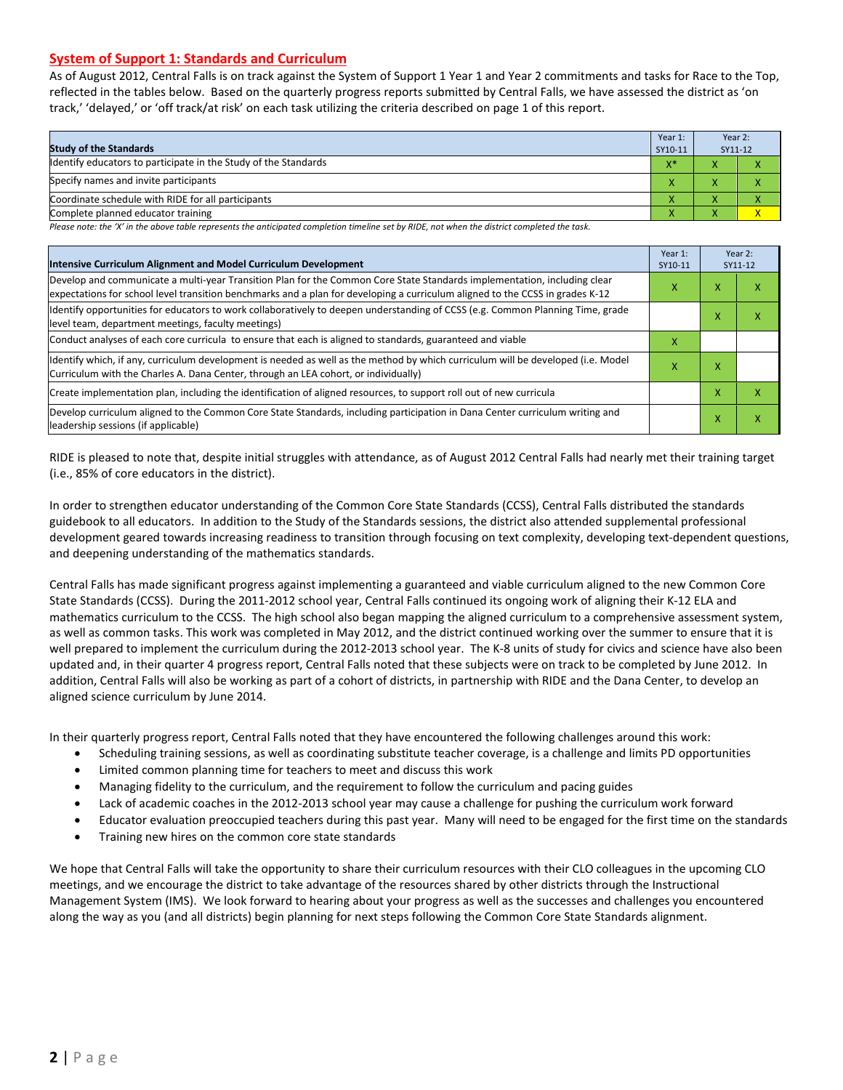### **System of Support 1: Standards and Curriculum**

As of August 2012, Central Falls is on track against the System of Support 1 Year 1 and Year 2 commitments and tasks for Race to the Top, reflected in the tables below. Based on the quarterly progress reports submitted by Central Falls, we have assessed the district as 'on track,' 'delayed,' or 'off track/at risk' on each task utilizing the criteria described on page 1 of this report.

| Year 1:<br><b>Study of the Standards</b><br>SY10-11             |       |              | Year 2:<br>SY11-12 |
|-----------------------------------------------------------------|-------|--------------|--------------------|
| Identify educators to participate in the Study of the Standards | $X^*$ |              |                    |
| Specify names and invite participants                           |       |              |                    |
| Coordinate schedule with RIDE for all participants              |       |              |                    |
| Complete planned educator training                              | '     | $\mathbf{v}$ |                    |

*Please note: the 'X' in the above table represents the anticipated completion timeline set by RIDE, not when the district completed the task.*

| Intensive Curriculum Alignment and Model Curriculum Development                                                                                                                                                                                           | Year 1:<br>SY10-11 |   | Year 2:<br>SY11-12 |
|-----------------------------------------------------------------------------------------------------------------------------------------------------------------------------------------------------------------------------------------------------------|--------------------|---|--------------------|
| Develop and communicate a multi-year Transition Plan for the Common Core State Standards implementation, including clear<br>expectations for school level transition benchmarks and a plan for developing a curriculum aligned to the CCSS in grades K-12 | x                  | х | x                  |
| Identify opportunities for educators to work collaboratively to deepen understanding of CCSS (e.g. Common Planning Time, grade<br>level team, department meetings, faculty meetings)                                                                      |                    | x | x                  |
| Conduct analyses of each core curricula to ensure that each is aligned to standards, guaranteed and viable                                                                                                                                                | x                  |   |                    |
| Identify which, if any, curriculum development is needed as well as the method by which curriculum will be developed (i.e. Model<br>Curriculum with the Charles A. Dana Center, through an LEA cohort, or individually)                                   | x                  | x |                    |
| Create implementation plan, including the identification of aligned resources, to support roll out of new curricula                                                                                                                                       |                    | x | x                  |
| Develop curriculum aligned to the Common Core State Standards, including participation in Dana Center curriculum writing and<br>leadership sessions (if applicable)                                                                                       |                    | Χ | x                  |

RIDE is pleased to note that, despite initial struggles with attendance, as of August 2012 Central Falls had nearly met their training target (i.e., 85% of core educators in the district).

In order to strengthen educator understanding of the Common Core State Standards (CCSS), Central Falls distributed the standards guidebook to all educators. In addition to the Study of the Standards sessions, the district also attended supplemental professional development geared towards increasing readiness to transition through focusing on text complexity, developing text-dependent questions, and deepening understanding of the mathematics standards.

Central Falls has made significant progress against implementing a guaranteed and viable curriculum aligned to the new Common Core State Standards (CCSS). During the 2011-2012 school year, Central Falls continued its ongoing work of aligning their K-12 ELA and mathematics curriculum to the CCSS. The high school also began mapping the aligned curriculum to a comprehensive assessment system, as well as common tasks. This work was completed in May 2012, and the district continued working over the summer to ensure that it is well prepared to implement the curriculum during the 2012-2013 school year. The K-8 units of study for civics and science have also been updated and, in their quarter 4 progress report, Central Falls noted that these subjects were on track to be completed by June 2012. In addition, Central Falls will also be working as part of a cohort of districts, in partnership with RIDE and the Dana Center, to develop an aligned science curriculum by June 2014.

In their quarterly progress report, Central Falls noted that they have encountered the following challenges around this work:

- Scheduling training sessions, as well as coordinating substitute teacher coverage, is a challenge and limits PD opportunities
- Limited common planning time for teachers to meet and discuss this work
- Managing fidelity to the curriculum, and the requirement to follow the curriculum and pacing guides
- Lack of academic coaches in the 2012-2013 school year may cause a challenge for pushing the curriculum work forward
- Educator evaluation preoccupied teachers during this past year. Many will need to be engaged for the first time on the standards
- Training new hires on the common core state standards

We hope that Central Falls will take the opportunity to share their curriculum resources with their CLO colleagues in the upcoming CLO meetings, and we encourage the district to take advantage of the resources shared by other districts through the Instructional Management System (IMS). We look forward to hearing about your progress as well as the successes and challenges you encountered along the way as you (and all districts) begin planning for next steps following the Common Core State Standards alignment.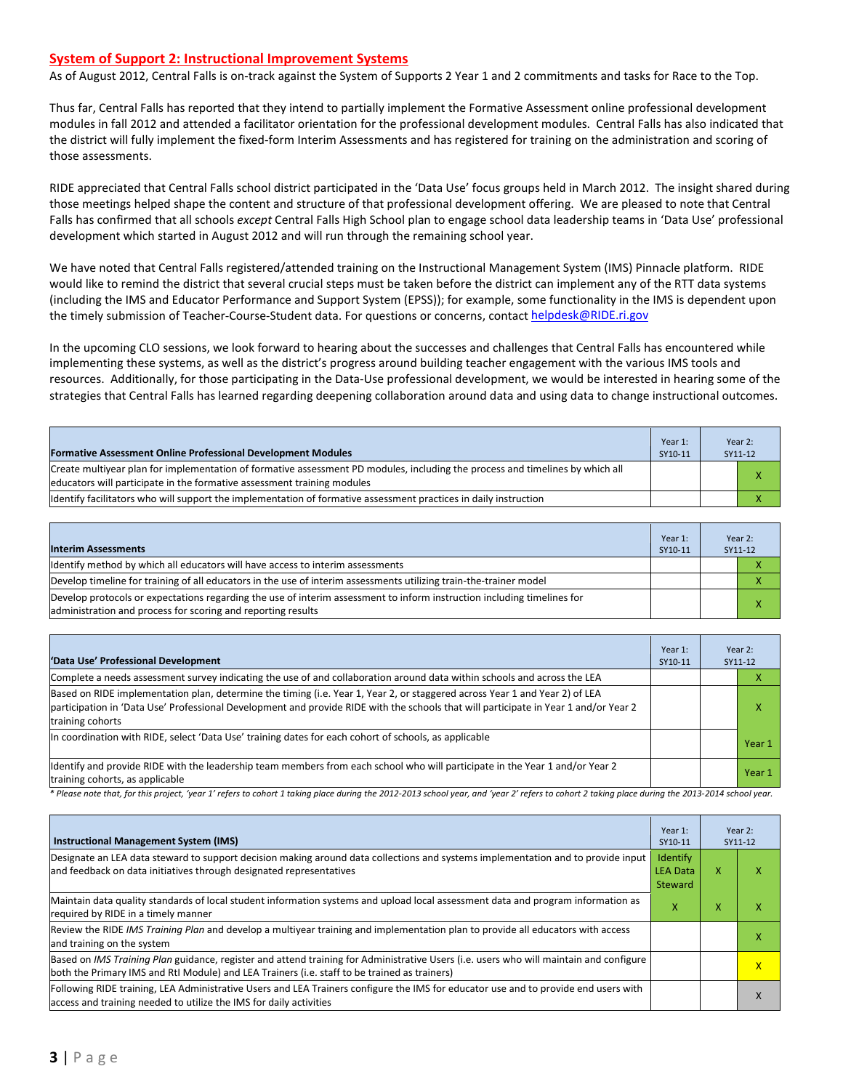#### **System of Support 2: Instructional Improvement Systems**

As of August 2012, Central Falls is on-track against the System of Supports 2 Year 1 and 2 commitments and tasks for Race to the Top.

Thus far, Central Falls has reported that they intend to partially implement the Formative Assessment online professional development modules in fall 2012 and attended a facilitator orientation for the professional development modules. Central Falls has also indicated that the district will fully implement the fixed-form Interim Assessments and has registered for training on the administration and scoring of those assessments.

RIDE appreciated that Central Falls school district participated in the 'Data Use' focus groups held in March 2012. The insight shared during those meetings helped shape the content and structure of that professional development offering. We are pleased to note that Central Falls has confirmed that all schools *except* Central Falls High School plan to engage school data leadership teams in 'Data Use' professional development which started in August 2012 and will run through the remaining school year.

We have noted that Central Falls registered/attended training on the Instructional Management System (IMS) Pinnacle platform. RIDE would like to remind the district that several crucial steps must be taken before the district can implement any of the RTT data systems (including the IMS and Educator Performance and Support System (EPSS)); for example, some functionality in the IMS is dependent upon the timely submission of Teacher-Course-Student data. For questions or concerns, contact [helpdesk@RIDE.ri.gov](mailto:helpdesk@RIDE.ri.gov)

In the upcoming CLO sessions, we look forward to hearing about the successes and challenges that Central Falls has encountered while implementing these systems, as well as the district's progress around building teacher engagement with the various IMS tools and resources. Additionally, for those participating in the Data-Use professional development, we would be interested in hearing some of the strategies that Central Falls has learned regarding deepening collaboration around data and using data to change instructional outcomes.

| <b>Formative Assessment Online Professional Development Modules</b>                                                                                                                                      | Year 1:<br>SY10-11 | Year 2:<br>SY11-12 |
|----------------------------------------------------------------------------------------------------------------------------------------------------------------------------------------------------------|--------------------|--------------------|
| Create multiyear plan for implementation of formative assessment PD modules, including the process and timelines by which all<br>educators will participate in the formative assessment training modules |                    | x                  |
| ldentify facilitators who will support the implementation of formative assessment practices in daily instruction                                                                                         |                    |                    |

| <b>Interim Assessments</b>                                                                                                                                                              | Year 1:<br>SY10-11 | Year 2:<br>SY11-12 |
|-----------------------------------------------------------------------------------------------------------------------------------------------------------------------------------------|--------------------|--------------------|
| Identify method by which all educators will have access to interim assessments                                                                                                          |                    |                    |
| Develop timeline for training of all educators in the use of interim assessments utilizing train-the-trainer model                                                                      |                    |                    |
| Develop protocols or expectations regarding the use of interim assessment to inform instruction including timelines for<br>administration and process for scoring and reporting results |                    |                    |

| 'Data Use' Professional Development                                                                                                                                                                                                                                                     |  |  | Year 2:<br>SY11-12 |
|-----------------------------------------------------------------------------------------------------------------------------------------------------------------------------------------------------------------------------------------------------------------------------------------|--|--|--------------------|
| Complete a needs assessment survey indicating the use of and collaboration around data within schools and across the LEA                                                                                                                                                                |  |  |                    |
| Based on RIDE implementation plan, determine the timing (i.e. Year 1, Year 2, or staggered across Year 1 and Year 2) of LEA<br>participation in 'Data Use' Professional Development and provide RIDE with the schools that will participate in Year 1 and/or Year 2<br>training cohorts |  |  | x                  |
| In coordination with RIDE, select 'Data Use' training dates for each cohort of schools, as applicable                                                                                                                                                                                   |  |  | Year 1             |
| ldentify and provide RIDE with the leadership team members from each school who will participate in the Year 1 and/or Year 2<br>training cohorts, as applicable                                                                                                                         |  |  | Year 1             |

*\* Please note that, for this project, 'year 1' refers to cohort 1 taking place during the 2012-2013 school year, and 'year 2' refers to cohort 2 taking place during the 2013-2014 school year.*

| <b>Instructional Management System (IMS)</b>                                                                                                                                                                                           |                                        |   | Year 2:<br>SY11-12 |
|----------------------------------------------------------------------------------------------------------------------------------------------------------------------------------------------------------------------------------------|----------------------------------------|---|--------------------|
| Designate an LEA data steward to support decision making around data collections and systems implementation and to provide input<br>and feedback on data initiatives through designated representatives                                | Identify<br><b>LEA Data</b><br>Steward | x |                    |
| Maintain data quality standards of local student information systems and upload local assessment data and program information as<br>required by RIDE in a timely manner                                                                |                                        | x |                    |
| Review the RIDE IMS Training Plan and develop a multiyear training and implementation plan to provide all educators with access<br>and training on the system                                                                          |                                        |   |                    |
| Based on IMS Training Plan guidance, register and attend training for Administrative Users (i.e. users who will maintain and configure<br>both the Primary IMS and RtI Module) and LEA Trainers (i.e. staff to be trained as trainers) |                                        |   | X                  |
| Following RIDE training, LEA Administrative Users and LEA Trainers configure the IMS for educator use and to provide end users with<br>access and training needed to utilize the IMS for daily activities                              |                                        |   |                    |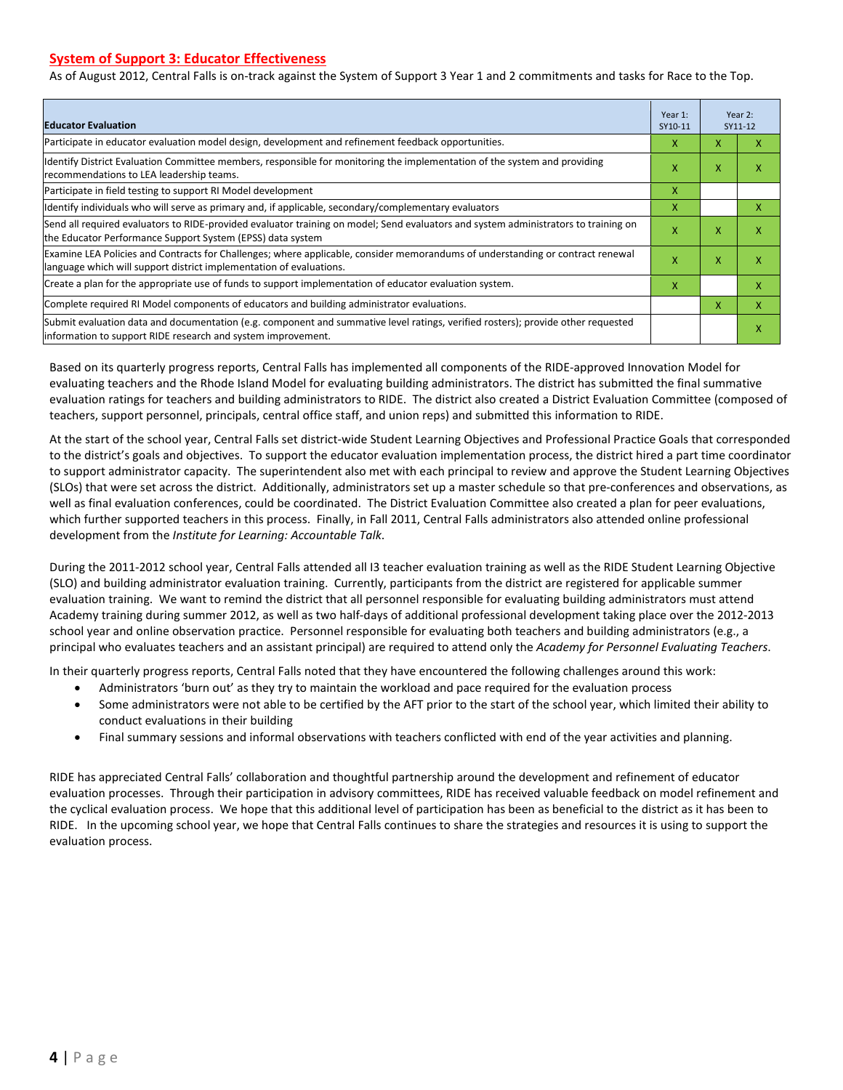# **System of Support 3: Educator Effectiveness**

As of August 2012, Central Falls is on-track against the System of Support 3 Year 1 and 2 commitments and tasks for Race to the Top.

| <b>Educator Evaluation</b>                                                                                                                                                                            | Year 1:<br>SY10-11 |   | Year 2:<br>SY11-12 |
|-------------------------------------------------------------------------------------------------------------------------------------------------------------------------------------------------------|--------------------|---|--------------------|
| Participate in educator evaluation model design, development and refinement feedback opportunities.                                                                                                   | x                  | x | x                  |
| Identify District Evaluation Committee members, responsible for monitoring the implementation of the system and providing<br>recommendations to LEA leadership teams.                                 | x                  | X | X                  |
| Participate in field testing to support RI Model development                                                                                                                                          | X                  |   |                    |
| Identify individuals who will serve as primary and, if applicable, secondary/complementary evaluators                                                                                                 | X                  |   | x                  |
| Send all required evaluators to RIDE-provided evaluator training on model; Send evaluators and system administrators to training on<br>the Educator Performance Support System (EPSS) data system     | X                  | X | X                  |
| Examine LEA Policies and Contracts for Challenges; where applicable, consider memorandums of understanding or contract renewal<br>language which will support district implementation of evaluations. | X                  | X | X                  |
| Create a plan for the appropriate use of funds to support implementation of educator evaluation system.                                                                                               | x                  |   | x                  |
| Complete required RI Model components of educators and building administrator evaluations.                                                                                                            |                    | X | x                  |
| Submit evaluation data and documentation (e.g. component and summative level ratings, verified rosters); provide other requested<br>linformation to support RIDE research and system improvement.     |                    |   | X                  |

Based on its quarterly progress reports, Central Falls has implemented all components of the RIDE-approved Innovation Model for evaluating teachers and the Rhode Island Model for evaluating building administrators. The district has submitted the final summative evaluation ratings for teachers and building administrators to RIDE. The district also created a District Evaluation Committee (composed of teachers, support personnel, principals, central office staff, and union reps) and submitted this information to RIDE.

At the start of the school year, Central Falls set district-wide Student Learning Objectives and Professional Practice Goals that corresponded to the district's goals and objectives. To support the educator evaluation implementation process, the district hired a part time coordinator to support administrator capacity. The superintendent also met with each principal to review and approve the Student Learning Objectives (SLOs) that were set across the district. Additionally, administrators set up a master schedule so that pre-conferences and observations, as well as final evaluation conferences, could be coordinated. The District Evaluation Committee also created a plan for peer evaluations, which further supported teachers in this process. Finally, in Fall 2011, Central Falls administrators also attended online professional development from the *Institute for Learning: Accountable Talk*.

During the 2011-2012 school year, Central Falls attended all I3 teacher evaluation training as well as the RIDE Student Learning Objective (SLO) and building administrator evaluation training. Currently, participants from the district are registered for applicable summer evaluation training. We want to remind the district that all personnel responsible for evaluating building administrators must attend Academy training during summer 2012, as well as two half-days of additional professional development taking place over the 2012-2013 school year and online observation practice. Personnel responsible for evaluating both teachers and building administrators (e.g., a principal who evaluates teachers and an assistant principal) are required to attend only the *Academy for Personnel Evaluating Teachers*.

In their quarterly progress reports, Central Falls noted that they have encountered the following challenges around this work:

- Administrators 'burn out' as they try to maintain the workload and pace required for the evaluation process
- Some administrators were not able to be certified by the AFT prior to the start of the school year, which limited their ability to conduct evaluations in their building
- Final summary sessions and informal observations with teachers conflicted with end of the year activities and planning.

RIDE has appreciated Central Falls' collaboration and thoughtful partnership around the development and refinement of educator evaluation processes. Through their participation in advisory committees, RIDE has received valuable feedback on model refinement and the cyclical evaluation process. We hope that this additional level of participation has been as beneficial to the district as it has been to RIDE. In the upcoming school year, we hope that Central Falls continues to share the strategies and resources it is using to support the evaluation process.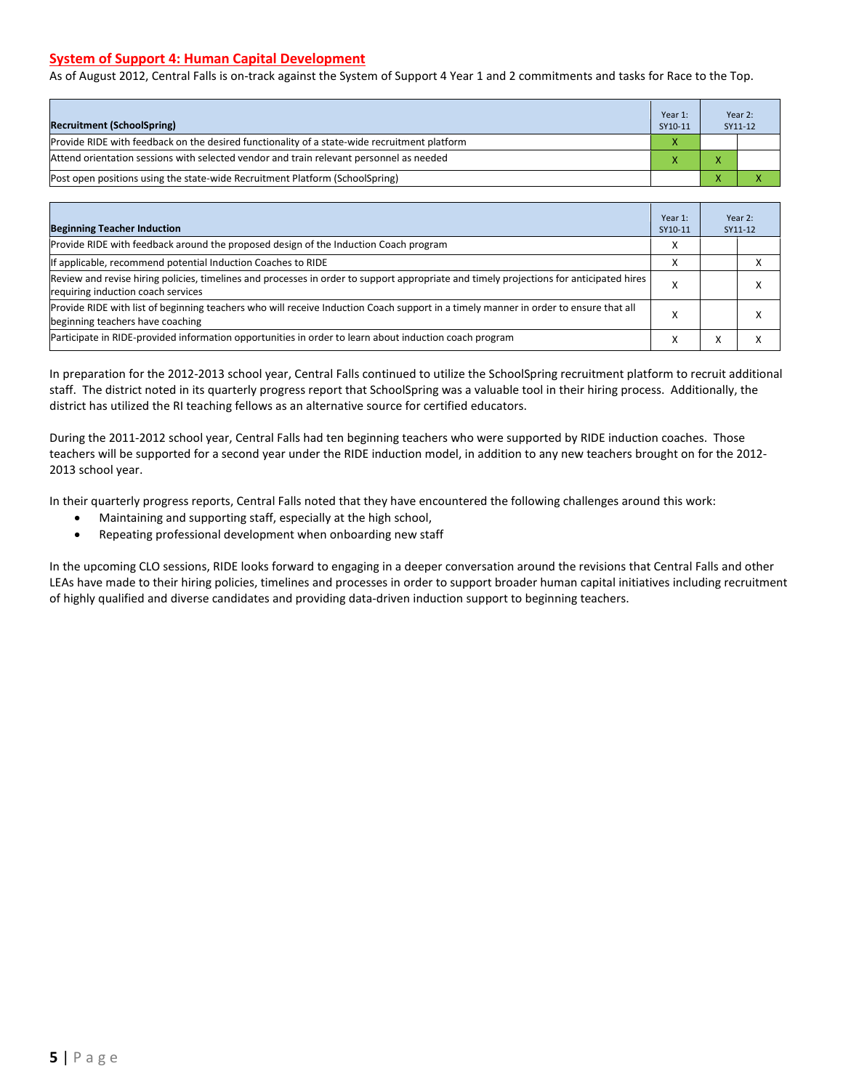# **System of Support 4: Human Capital Development**

As of August 2012, Central Falls is on-track against the System of Support 4 Year 1 and 2 commitments and tasks for Race to the Top.

| <b>Recruitment (SchoolSpring)</b>                                                            |   |  | Year 2:<br>SY11-12 |
|----------------------------------------------------------------------------------------------|---|--|--------------------|
| Provide RIDE with feedback on the desired functionality of a state-wide recruitment platform | X |  |                    |
| Attend orientation sessions with selected vendor and train relevant personnel as needed      |   |  |                    |
| (Post open positions using the state-wide Recruitment Platform (SchoolSpring)                |   |  |                    |

| <b>Beginning Teacher Induction</b>                                                                                                                                            | Year 1:<br>SY10-11 |           | Year 2:<br>SY11-12 |
|-------------------------------------------------------------------------------------------------------------------------------------------------------------------------------|--------------------|-----------|--------------------|
| Provide RIDE with feedback around the proposed design of the Induction Coach program                                                                                          |                    |           |                    |
| If applicable, recommend potential Induction Coaches to RIDE                                                                                                                  |                    |           |                    |
| Review and revise hiring policies, timelines and processes in order to support appropriate and timely projections for anticipated hires<br>requiring induction coach services | X                  |           |                    |
| Provide RIDE with list of beginning teachers who will receive Induction Coach support in a timely manner in order to ensure that all<br>beginning teachers have coaching      |                    |           |                    |
| Participate in RIDE-provided information opportunities in order to learn about induction coach program                                                                        |                    | $\lambda$ |                    |

In preparation for the 2012-2013 school year, Central Falls continued to utilize the SchoolSpring recruitment platform to recruit additional staff. The district noted in its quarterly progress report that SchoolSpring was a valuable tool in their hiring process. Additionally, the district has utilized the RI teaching fellows as an alternative source for certified educators.

During the 2011-2012 school year, Central Falls had ten beginning teachers who were supported by RIDE induction coaches. Those teachers will be supported for a second year under the RIDE induction model, in addition to any new teachers brought on for the 2012- 2013 school year.

In their quarterly progress reports, Central Falls noted that they have encountered the following challenges around this work:

- Maintaining and supporting staff, especially at the high school,
- Repeating professional development when onboarding new staff

In the upcoming CLO sessions, RIDE looks forward to engaging in a deeper conversation around the revisions that Central Falls and other LEAs have made to their hiring policies, timelines and processes in order to support broader human capital initiatives including recruitment of highly qualified and diverse candidates and providing data-driven induction support to beginning teachers.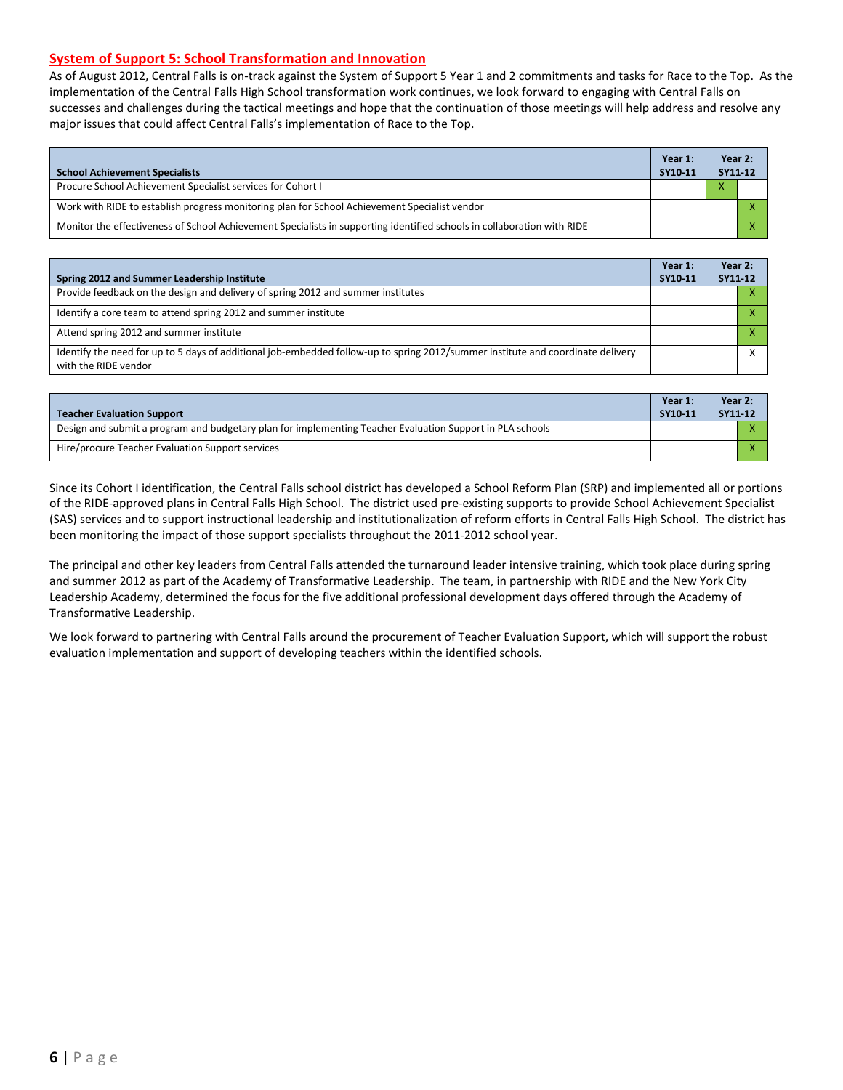# **System of Support 5: School Transformation and Innovation**

As of August 2012, Central Falls is on-track against the System of Support 5 Year 1 and 2 commitments and tasks for Race to the Top. As the implementation of the Central Falls High School transformation work continues, we look forward to engaging with Central Falls on successes and challenges during the tactical meetings and hope that the continuation of those meetings will help address and resolve any major issues that could affect Central Falls's implementation of Race to the Top.

| <b>School Achievement Specialists</b>                                                                                   |  |  | Year 2:<br>SY11-12 |  |
|-------------------------------------------------------------------------------------------------------------------------|--|--|--------------------|--|
| Procure School Achievement Specialist services for Cohort I                                                             |  |  |                    |  |
| Work with RIDE to establish progress monitoring plan for School Achievement Specialist vendor                           |  |  |                    |  |
| Monitor the effectiveness of School Achievement Specialists in supporting identified schools in collaboration with RIDE |  |  |                    |  |

| Spring 2012 and Summer Leadership Institute                                                                                                             | Year 1:<br>SY10-11 | Year 2:<br>SY11-12 |  |
|---------------------------------------------------------------------------------------------------------------------------------------------------------|--------------------|--------------------|--|
| Provide feedback on the design and delivery of spring 2012 and summer institutes                                                                        |                    |                    |  |
| Identify a core team to attend spring 2012 and summer institute                                                                                         |                    |                    |  |
| Attend spring 2012 and summer institute                                                                                                                 |                    |                    |  |
| Identify the need for up to 5 days of additional job-embedded follow-up to spring 2012/summer institute and coordinate delivery<br>with the RIDE vendor |                    |                    |  |

| <b>Teacher Evaluation Support</b>                                                                         | Year 1:<br>SY10-11 | Year 2:<br>SY11-12 |
|-----------------------------------------------------------------------------------------------------------|--------------------|--------------------|
| Design and submit a program and budgetary plan for implementing Teacher Evaluation Support in PLA schools |                    |                    |
| Hire/procure Teacher Evaluation Support services                                                          |                    |                    |

Since its Cohort I identification, the Central Falls school district has developed a School Reform Plan (SRP) and implemented all or portions of the RIDE-approved plans in Central Falls High School. The district used pre-existing supports to provide School Achievement Specialist (SAS) services and to support instructional leadership and institutionalization of reform efforts in Central Falls High School. The district has been monitoring the impact of those support specialists throughout the 2011-2012 school year.

The principal and other key leaders from Central Falls attended the turnaround leader intensive training, which took place during spring and summer 2012 as part of the Academy of Transformative Leadership. The team, in partnership with RIDE and the New York City Leadership Academy, determined the focus for the five additional professional development days offered through the Academy of Transformative Leadership.

We look forward to partnering with Central Falls around the procurement of Teacher Evaluation Support, which will support the robust evaluation implementation and support of developing teachers within the identified schools.